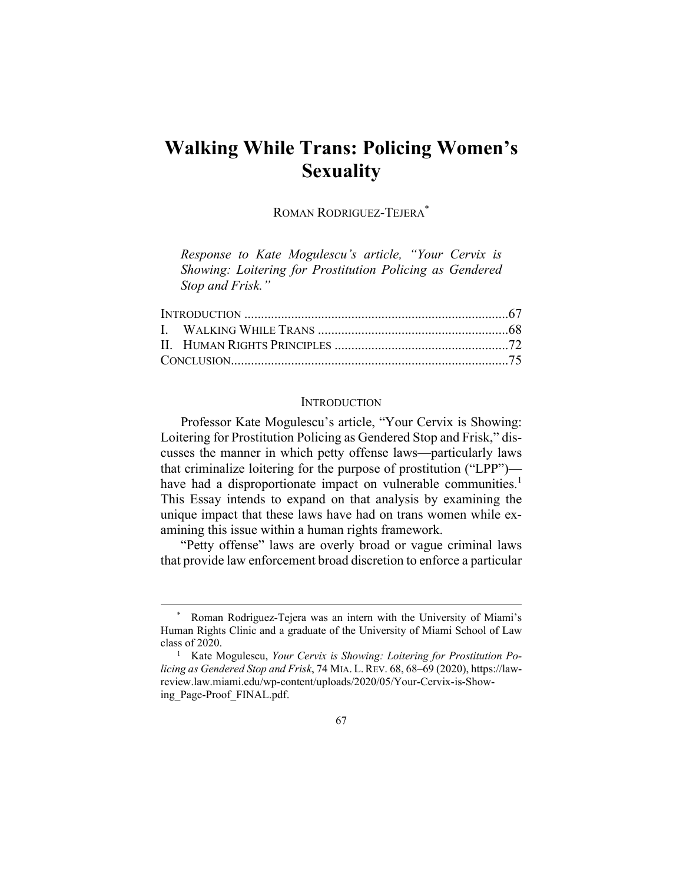# **Walking While Trans: Policing Women's Sexuality**

ROMAN RODRIGUEZ-TEJERA\*

*Response to Kate Mogulescu's article, "Your Cervix is Showing: Loitering for Prostitution Policing as Gendered Stop and Frisk."* 

#### **INTRODUCTION**

Professor Kate Mogulescu's article, "Your Cervix is Showing: Loitering for Prostitution Policing as Gendered Stop and Frisk," discusses the manner in which petty offense laws—particularly laws that criminalize loitering for the purpose of prostitution ("LPP") have had a disproportionate impact on vulnerable communities.<sup>1</sup> This Essay intends to expand on that analysis by examining the unique impact that these laws have had on trans women while examining this issue within a human rights framework.

"Petty offense" laws are overly broad or vague criminal laws that provide law enforcement broad discretion to enforce a particular

Roman Rodriguez-Tejera was an intern with the University of Miami's Human Rights Clinic and a graduate of the University of Miami School of Law class of 2020.

<sup>&</sup>lt;sup>1</sup> Kate Mogulescu, *Your Cervix is Showing: Loitering for Prostitution Policing as Gendered Stop and Frisk*, 74 MIA. L.REV. 68, 68–69 (2020), https://lawreview.law.miami.edu/wp-content/uploads/2020/05/Your-Cervix-is-Showing\_Page-Proof\_FINAL.pdf.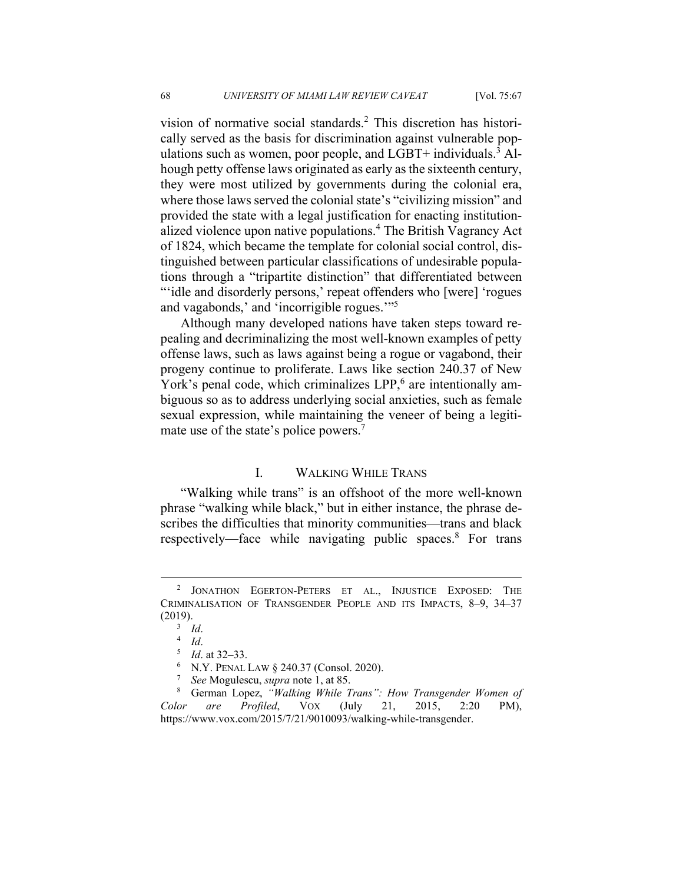vision of normative social standards.<sup>2</sup> This discretion has historically served as the basis for discrimination against vulnerable populations such as women, poor people, and LGBT+ individuals.<sup>3</sup> Alhough petty offense laws originated as early as the sixteenth century, they were most utilized by governments during the colonial era, where those laws served the colonial state's "civilizing mission" and provided the state with a legal justification for enacting institutionalized violence upon native populations.4 The British Vagrancy Act of 1824, which became the template for colonial social control, distinguished between particular classifications of undesirable populations through a "tripartite distinction" that differentiated between "idle and disorderly persons,' repeat offenders who [were] 'rogues and vagabonds,' and 'incorrigible rogues.'"5

Although many developed nations have taken steps toward repealing and decriminalizing the most well-known examples of petty offense laws, such as laws against being a rogue or vagabond, their progeny continue to proliferate. Laws like section 240.37 of New York's penal code, which criminalizes LPP,<sup>6</sup> are intentionally ambiguous so as to address underlying social anxieties, such as female sexual expression, while maintaining the veneer of being a legitimate use of the state's police powers.<sup>7</sup>

# I. WALKING WHILE TRANS

"Walking while trans" is an offshoot of the more well-known phrase "walking while black," but in either instance, the phrase describes the difficulties that minority communities—trans and black respectively—face while navigating public spaces.<sup>8</sup> For trans

<sup>&</sup>lt;sup>2</sup> JONATHON EGERTON-PETERS ET AL., INJUSTICE EXPOSED: THE CRIMINALISATION OF TRANSGENDER PEOPLE AND ITS IMPACTS, 8–9, 34–37  $(2019).$ <sup>3</sup> Id.

<sup>&</sup>lt;sup>3</sup> Id.<br><sup>4</sup> Id.

<sup>&</sup>lt;sup>4</sup> Id.<br><sup>5</sup> Id

<sup>&</sup>lt;sup>5</sup> *Id.* at 32–33.

<sup>&</sup>lt;sup>6</sup> N.Y. PENAL LAW § 240.37 (Consol. 2020).

*See* Mogulescu, *supra* note 1, at 85.

German Lopez, *"Walking While Trans": How Transgender Women of Color are Profiled*, VOX (July 21, 2015, 2:20 PM), https://www.vox.com/2015/7/21/9010093/walking-while-transgender.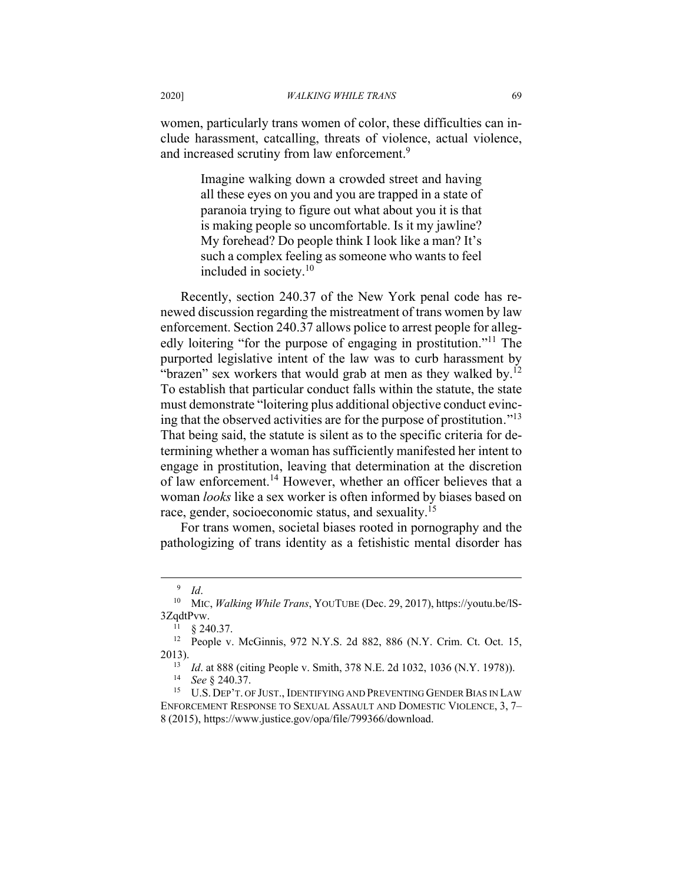women, particularly trans women of color, these difficulties can include harassment, catcalling, threats of violence, actual violence, and increased scrutiny from law enforcement.<sup>9</sup>

> Imagine walking down a crowded street and having all these eyes on you and you are trapped in a state of paranoia trying to figure out what about you it is that is making people so uncomfortable. Is it my jawline? My forehead? Do people think I look like a man? It's such a complex feeling as someone who wants to feel included in society.10

Recently, section 240.37 of the New York penal code has renewed discussion regarding the mistreatment of trans women by law enforcement. Section 240.37 allows police to arrest people for allegedly loitering "for the purpose of engaging in prostitution."<sup>11</sup> The purported legislative intent of the law was to curb harassment by "brazen" sex workers that would grab at men as they walked by. $12$ To establish that particular conduct falls within the statute, the state must demonstrate "loitering plus additional objective conduct evincing that the observed activities are for the purpose of prostitution."<sup>13</sup> That being said, the statute is silent as to the specific criteria for determining whether a woman has sufficiently manifested her intent to engage in prostitution, leaving that determination at the discretion of law enforcement.<sup>14</sup> However, whether an officer believes that a woman *looks* like a sex worker is often informed by biases based on race, gender, socioeconomic status, and sexuality.15

For trans women, societal biases rooted in pornography and the pathologizing of trans identity as a fetishistic mental disorder has

<sup>9</sup>

<sup>&</sup>lt;sup>9</sup> Id.<br><sup>10</sup> MIC, *Walking While Trans*, YOUTUBE (Dec. 29, 2017), https://youtu.be/IS- $3ZqdtPvw.$ <br><sup>11</sup> § 240.37.

<sup>&</sup>lt;sup>12</sup> People v. McGinnis, 972 N.Y.S. 2d 882, 886 (N.Y. Crim. Ct. Oct. 15, 2013).

<sup>&</sup>lt;sup>13</sup> Id. at 888 (citing People v. Smith, 378 N.E. 2d 1032, 1036 (N.Y. 1978)).<br><sup>14</sup> See § 240.37.<br><sup>15</sup> U.S. DEP'T. OF JUST., IDENTIFYING AND PREVENTING GENDER BIAS IN LAW

ENFORCEMENT RESPONSE TO SEXUAL ASSAULT AND DOMESTIC VIOLENCE, 3, 7– 8 (2015), https://www.justice.gov/opa/file/799366/download.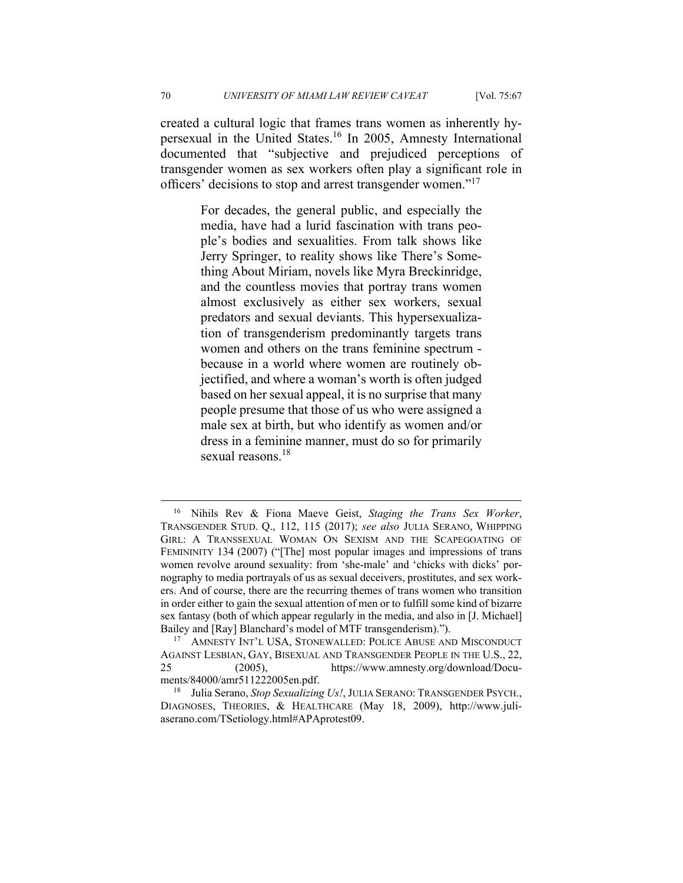created a cultural logic that frames trans women as inherently hypersexual in the United States.16 In 2005, Amnesty International documented that "subjective and prejudiced perceptions of transgender women as sex workers often play a significant role in officers' decisions to stop and arrest transgender women."<sup>17</sup>

> For decades, the general public, and especially the media, have had a lurid fascination with trans people's bodies and sexualities. From talk shows like Jerry Springer, to reality shows like There's Something About Miriam, novels like Myra Breckinridge, and the countless movies that portray trans women almost exclusively as either sex workers, sexual predators and sexual deviants. This hypersexualization of transgenderism predominantly targets trans women and others on the trans feminine spectrum because in a world where women are routinely objectified, and where a woman's worth is often judged based on her sexual appeal, it is no surprise that many people presume that those of us who were assigned a male sex at birth, but who identify as women and/or dress in a feminine manner, must do so for primarily sexual reasons.<sup>18</sup>

<sup>16</sup> Nihils Rev & Fiona Maeve Geist, *Staging the Trans Sex Worker*, TRANSGENDER STUD. Q., 112, 115 (2017); *see also* JULIA SERANO, WHIPPING GIRL: A TRANSSEXUAL WOMAN ON SEXISM AND THE SCAPEGOATING OF FEMININITY 134 (2007) ("[The] most popular images and impressions of trans women revolve around sexuality: from 'she-male' and 'chicks with dicks' pornography to media portrayals of us as sexual deceivers, prostitutes, and sex workers. And of course, there are the recurring themes of trans women who transition in order either to gain the sexual attention of men or to fulfill some kind of bizarre sex fantasy (both of which appear regularly in the media, and also in [J. Michael] Bailey and [Ray] Blanchard's model of MTF transgenderism).").<br><sup>17</sup> AMNESTY INT'L USA, STONEWALLED: POLICE ABUSE AND MISCONDUCT

AGAINST LESBIAN, GAY, BISEXUAL AND TRANSGENDER PEOPLE IN THE U.S., 22, 25 (2005), https://www.amnesty.org/download/Docu-

ments/84000/amr511222005en.pdf.<br><sup>18</sup> Julia Serano, *Stop Sexualizing Us!*, JULIA SERANO: TRANSGENDER PSYCH., DIAGNOSES, THEORIES, & HEALTHCARE (May 18, 2009), http://www.juliaserano.com/TSetiology.html#APAprotest09.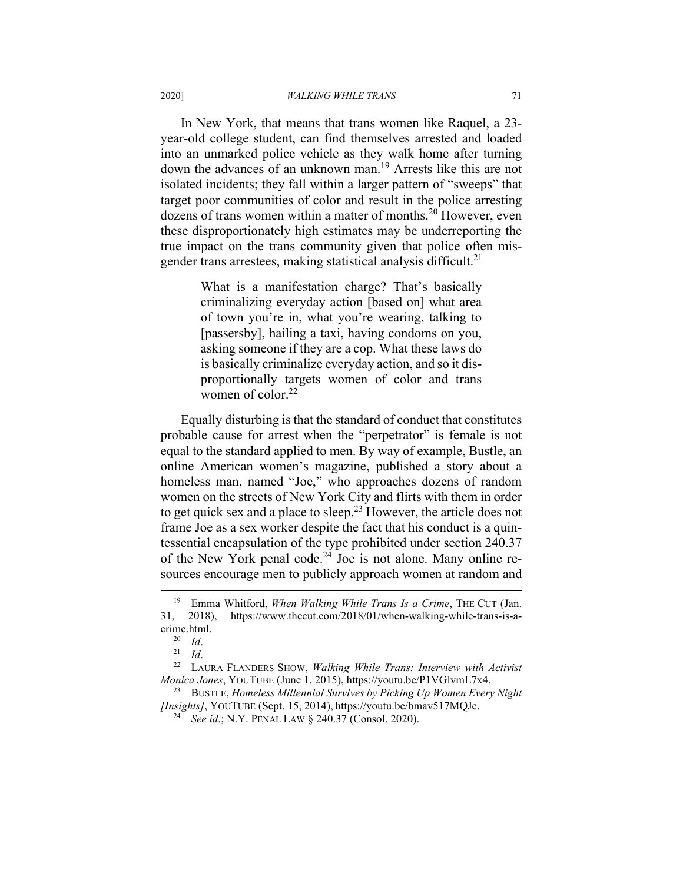In New York, that means that trans women like Raquel, a 23 year-old college student, can find themselves arrested and loaded into an unmarked police vehicle as they walk home after turning down the advances of an unknown man.<sup>19</sup> Arrests like this are not isolated incidents; they fall within a larger pattern of "sweeps" that target poor communities of color and result in the police arresting dozens of trans women within a matter of months.<sup>20</sup> However, even these disproportionately high estimates may be underreporting the true impact on the trans community given that police often misgender trans arrestees, making statistical analysis difficult.<sup>21</sup>

> What is a manifestation charge? That's basically criminalizing everyday action [based on] what area of town you're in, what you're wearing, talking to [passersby], hailing a taxi, having condoms on you, asking someone if they are a cop. What these laws do is basically criminalize everyday action, and so it disproportionally targets women of color and trans women of color.<sup>22</sup>

Equally disturbing is that the standard of conduct that constitutes probable cause for arrest when the "perpetrator" is female is not equal to the standard applied to men. By way of example, Bustle, an online American women's magazine, published a story about a homeless man, named "Joe," who approaches dozens of random women on the streets of New York City and flirts with them in order to get quick sex and a place to sleep.<sup>23</sup> However, the article does not frame Joe as a sex worker despite the fact that his conduct is a quintessential encapsulation of the type prohibited under section 240.37 of the New York penal code.<sup>24</sup> Joe is not alone. Many online resources encourage men to publicly approach women at random and

<sup>19</sup> Emma Whitford, *When Walking While Trans Is a Crime*, THE CUT (Jan. 31, 2018), https://www.thecut.com/2018/01/when-walking-while-trans-is-a-

crime.html. 20 *Id*. 21 *Id*. 22 LAURA FLANDERS SHOW, *Walking While Trans: Interview with Activist Monica Jones*, YOUTUBE (June 1, 2015), https://youtu.be/P1VGlvmL7x4.<br><sup>23</sup> BUSTLE, *Homeless Millennial Survives by Picking Up Women Every Night* 

*<sup>[</sup>Insights]*, YOUTUBE (Sept. 15, 2014), https://youtu.be/bmav517MQJc. 24 *See id*.; N.Y. PENAL LAW § 240.37 (Consol. 2020).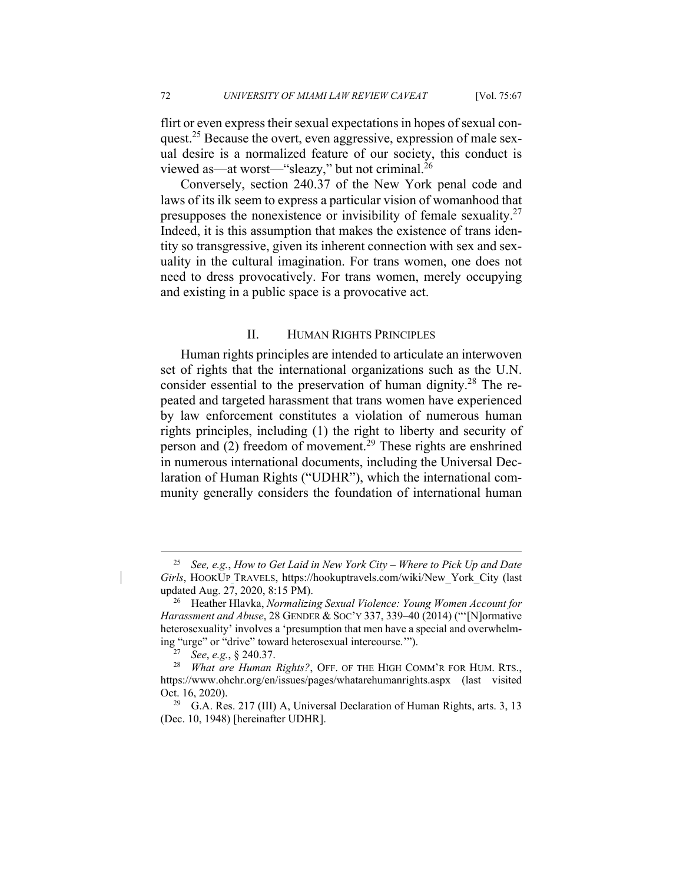flirt or even express their sexual expectations in hopes of sexual conquest.<sup>25</sup> Because the overt, even aggressive, expression of male sexual desire is a normalized feature of our society, this conduct is viewed as—at worst—"sleazy," but not criminal.<sup>26</sup>

Conversely, section 240.37 of the New York penal code and laws of its ilk seem to express a particular vision of womanhood that presupposes the nonexistence or invisibility of female sexuality. $27$ Indeed, it is this assumption that makes the existence of trans identity so transgressive, given its inherent connection with sex and sexuality in the cultural imagination. For trans women, one does not need to dress provocatively. For trans women, merely occupying and existing in a public space is a provocative act.

# II. HUMAN RIGHTS PRINCIPLES

Human rights principles are intended to articulate an interwoven set of rights that the international organizations such as the U.N. consider essential to the preservation of human dignity.28 The repeated and targeted harassment that trans women have experienced by law enforcement constitutes a violation of numerous human rights principles, including (1) the right to liberty and security of person and  $(2)$  freedom of movement.<sup>29</sup> These rights are enshrined in numerous international documents, including the Universal Declaration of Human Rights ("UDHR"), which the international community generally considers the foundation of international human

<sup>25</sup> *See, e.g.*, *How to Get Laid in New York City – Where to Pick Up and Date Girls*, HOOKUP TRAVELS, https://hookuptravels.com/wiki/New\_York\_City (last updated Aug. 27, 2020, 8:15 PM).<br><sup>26</sup> Heather Hlavka, *Normalizing Sexual Violence: Young Women Account for* 

*Harassment and Abuse*, 28 GENDER & SOC'Y 337, 339–40 (2014) ("'[N]ormative heterosexuality' involves a 'presumption that men have a special and overwhelm-

ing "urge" or "drive" toward heterosexual intercourse.'"). 27 *See*, *e.g.*, § 240.37. 28 *What are Human Rights?*, OFF. OF THE HIGH COMM'R FOR HUM. RTS., https://www.ohchr.org/en/issues/pages/whatarehumanrights.aspx (last visited Oct. 16, 2020).<br><sup>29</sup> G.A. Res. 217 (III) A, Universal Declaration of Human Rights, arts. 3, 13

<sup>(</sup>Dec. 10, 1948) [hereinafter UDHR].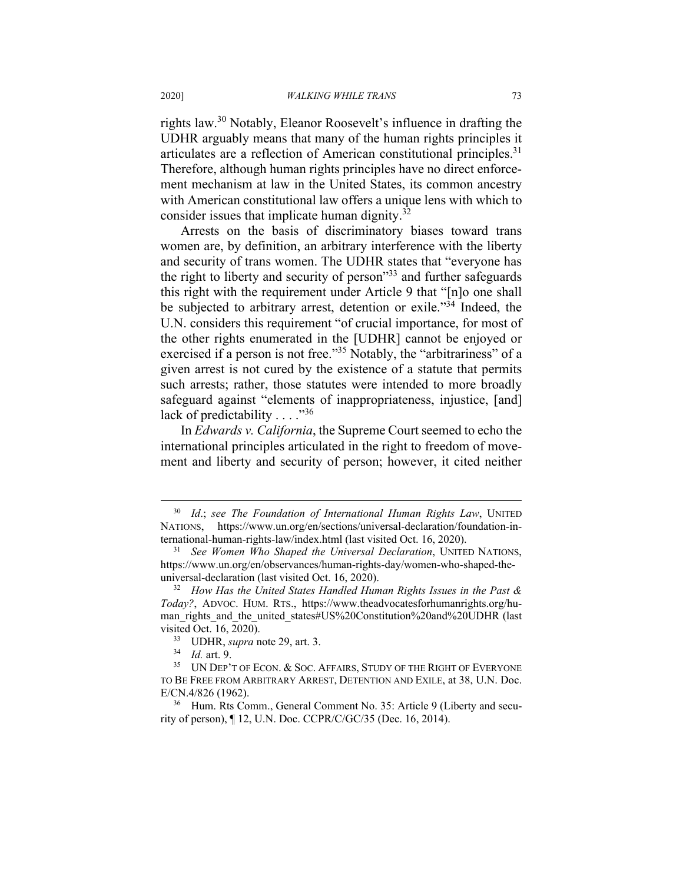rights law.30 Notably, Eleanor Roosevelt's influence in drafting the UDHR arguably means that many of the human rights principles it articulates are a reflection of American constitutional principles.<sup>31</sup> Therefore, although human rights principles have no direct enforcement mechanism at law in the United States, its common ancestry with American constitutional law offers a unique lens with which to consider issues that implicate human dignity.<sup>32</sup>

Arrests on the basis of discriminatory biases toward trans women are, by definition, an arbitrary interference with the liberty and security of trans women. The UDHR states that "everyone has the right to liberty and security of person"33 and further safeguards this right with the requirement under Article 9 that "[n]o one shall be subjected to arbitrary arrest, detention or exile."34 Indeed, the U.N. considers this requirement "of crucial importance, for most of the other rights enumerated in the [UDHR] cannot be enjoyed or exercised if a person is not free."<sup>35</sup> Notably, the "arbitrariness" of a given arrest is not cured by the existence of a statute that permits such arrests; rather, those statutes were intended to more broadly safeguard against "elements of inappropriateness, injustice, [and] lack of predictability  $\dots$ ."<sup>36</sup>

In *Edwards v. California*, the Supreme Court seemed to echo the international principles articulated in the right to freedom of movement and liberty and security of person; however, it cited neither

<sup>30</sup> *Id*.; *see The Foundation of International Human Rights Law*, UNITED NATIONS, https://www.un.org/en/sections/universal-declaration/foundation-international-human-rights-law/index.html (last visited Oct. 16, 2020). 31 *See Women Who Shaped the Universal Declaration*, UNITED NATIONS,

https://www.un.org/en/observances/human-rights-day/women-who-shaped-theuniversal-declaration (last visited Oct. 16, 2020). 32 *How Has the United States Handled Human Rights Issues in the Past &* 

*Today?*, ADVOC. HUM. RTS., https://www.theadvocatesforhumanrights.org/human\_rights\_and\_the\_united\_states#US%20Constitution%20and%20UDHR (last

visited Oct. 16, 2020).<br><sup>33</sup> UDHR, *supra* note 29, art. 3.<br><sup>34</sup> Id. art. 9.<br><sup>35</sup> UN DEP'T OF ECON. & SOC. AFFAIRS, STUDY OF THE RIGHT OF EVERYONE TO BE FREE FROM ARBITRARY ARREST, DETENTION AND EXILE, at 38, U.N. Doc. E/CN.4/826 (1962).<br><sup>36</sup> Hum. Rts Comm., General Comment No. 35: Article 9 (Liberty and secu-

rity of person), ¶ 12, U.N. Doc. CCPR/C/GC/35 (Dec. 16, 2014).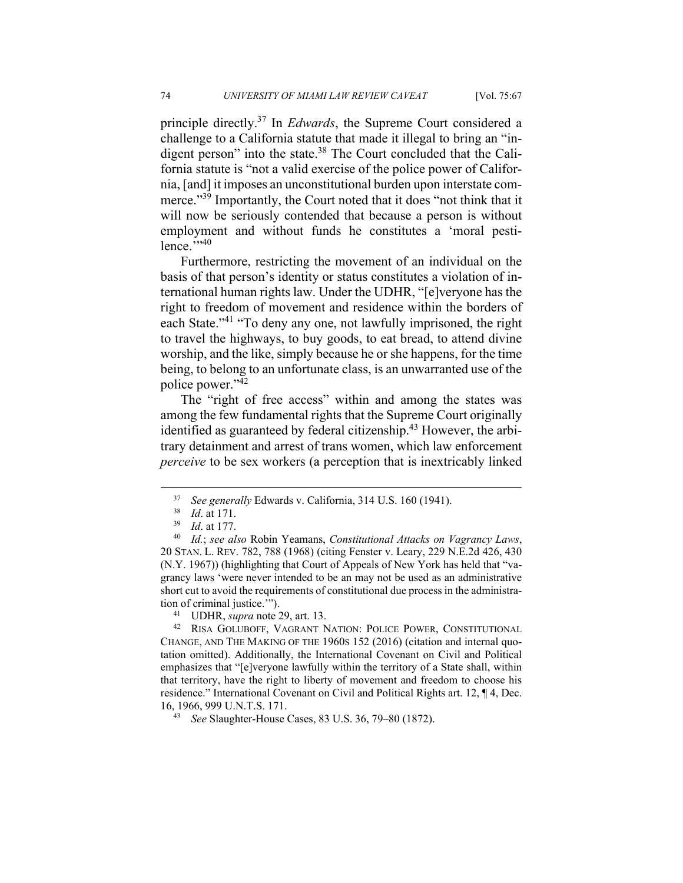principle directly.37 In *Edwards*, the Supreme Court considered a challenge to a California statute that made it illegal to bring an "indigent person" into the state.<sup>38</sup> The Court concluded that the California statute is "not a valid exercise of the police power of California, [and] it imposes an unconstitutional burden upon interstate commerce."<sup>39</sup> Importantly, the Court noted that it does "not think that it will now be seriously contended that because a person is without employment and without funds he constitutes a 'moral pesti $l$ ence." $^{,940}$ 

Furthermore, restricting the movement of an individual on the basis of that person's identity or status constitutes a violation of international human rights law. Under the UDHR, "[e]veryone has the right to freedom of movement and residence within the borders of each State."<sup>41</sup> "To deny any one, not lawfully imprisoned, the right to travel the highways, to buy goods, to eat bread, to attend divine worship, and the like, simply because he or she happens, for the time being, to belong to an unfortunate class, is an unwarranted use of the police power."42

The "right of free access" within and among the states was among the few fundamental rights that the Supreme Court originally identified as guaranteed by federal citizenship.<sup>43</sup> However, the arbitrary detainment and arrest of trans women, which law enforcement *perceive* to be sex workers (a perception that is inextricably linked

<sup>37</sup> *See generally* Edwards v. California, 314 U.S. 160 (1941). 38 *Id*. at 171. 39 *Id*. at 177. 40 *Id.*; *see also* Robin Yeamans, *Constitutional Attacks on Vagrancy Laws*, 20 STAN. L. REV. 782, 788 (1968) (citing Fenster v. Leary, 229 N.E.2d 426, 430 (N.Y. 1967)) (highlighting that Court of Appeals of New York has held that "vagrancy laws 'were never intended to be an may not be used as an administrative short cut to avoid the requirements of constitutional due process in the administration of criminal justice.'").<br><sup>41</sup> UDHR, *supra* note 29, art. 13.<br><sup>42</sup> RISA GOLUBOFF, VAGRANT NATION: POLICE POWER, CONSTITUTIONAL

CHANGE, AND THE MAKING OF THE 1960S 152 (2016) (citation and internal quotation omitted). Additionally, the International Covenant on Civil and Political emphasizes that "[e]veryone lawfully within the territory of a State shall, within that territory, have the right to liberty of movement and freedom to choose his residence." International Covenant on Civil and Political Rights art. 12, ¶ 4, Dec. 16, 1966, 999 U.N.T.S. 171. 43 *See* Slaughter-House Cases, 83 U.S. 36, 79–80 (1872).